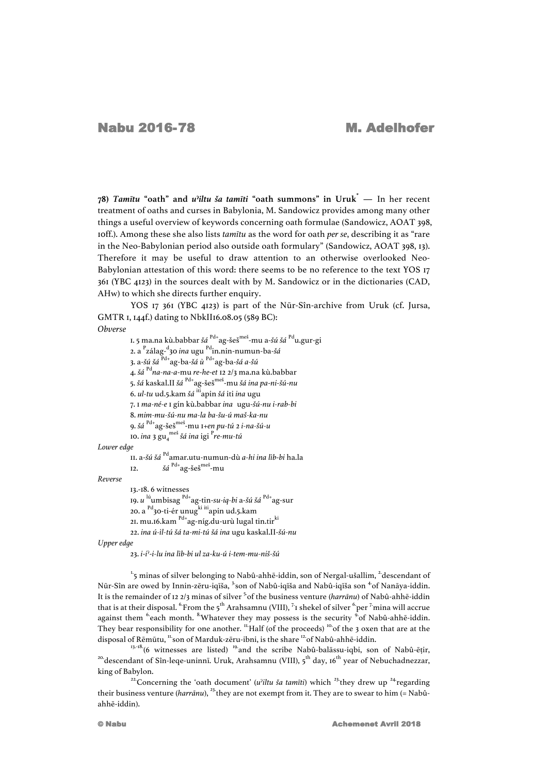**78)** *Tamītu* **"oath" and** *u***ˀ***iltu ša tamīti* **"oath summons" in Uruk\* —** In her recent treatment of oaths and curses in Babylonia, M. Sandowicz provides among many other things a useful overview of keywords concerning oath formulae (Sandowicz, AOAT 398, 10ff.). Among these she also lists *tamītu* as the word for oath *per se*, describing it as "rare in the Neo-Babylonian period also outside oath formulary" (Sandowicz, AOAT 398, 13). Therefore it may be useful to draw attention to an otherwise overlooked Neo-Babylonian attestation of this word: there seems to be no reference to the text YOS 17 361 (YBC 4123) in the sources dealt with by M. Sandowicz or in the dictionaries (CAD, AHw) to which she directs further enquiry.

YOS 17 361 (YBC 4123) is part of the Nūr-Sîn-archive from Uruk (cf. Jursa, GMTR 1, 144f.) dating to NbkII16.08.05 (589 BC):

## *Obverse*

1. 5 ma.na kù.babbar *šá* Pd+ag-šeš meš -mu a-*šú šá* Pdu.gur-gi 2. a <sup>P</sup> zálag-d 30 *ina* ugu Pdin.nin-numun-ba-*šá* 3. a-*šú šá* Pd+ag-ba-*šá ù* Pd+ag-ba-*šá a-šú* 4. *šá* Pd*na-na-a*-mu *re*-*he*-*et* 12 2/3 ma.na kù.babbar 5. *šá* kaskal.II *šá* Pd+ag-šeš meš -mu *šá ina pa*-*ni*-*šú*-*nu* 6. *ul-tu* ud.5.kam *šá* itiapin *šá* iti *ina* ugu 7. 1 *ma-né-e* 1 gín kù.babbar *ina* ugu-*šú-nu i-rab-bi* 8. *mim-mu-šú-nu ma-la ba-šu-ú maš-ka-nu* 9. *šá* Pd+ag-šeš meš -mu 1+*en pu-tú* 2 *i-na-šú-u* 10. *ina* 3 gu4 meš *šá ina* igi <sup>P</sup> *re-mu-tú*

## *Lower edge*

```
11. a-šú šá Pdamar.utu-numun-dù a-hi ina lìb-bi ha.la
12. šá Pd+ag-šeš
meš
-mu
```
*Reverse*

13.-18. 6 witnesses 19. *u* lúumbisag Pd+ag-tin-*su-iq-bi* a-*šú šá* Pd+ag-sur 20. a <sup>Pd</sup>30-ti-ér unug<sup>ki iti</sup>apin ud.5.kam 21. mu.16.kam <sup>Pd+</sup>ag-níg.du-urù lugal tin.tir<sup>ki</sup> 22. *ina ú-ìl-tú šá ta-mi-tú šá ina* ugu kaskal.II-*šú-nu*

*Upper edge*

23. *i*-*i*ˀ-*i-lu ina lìb*-*bi ul za*-*ku-ú i-tem-mu-niš-šú*

 $1.5$  minas of silver belonging to Nabû-ahhē-iddin, son of Nergal-ušallim,  $2.4$ descendant of Nūr-Sîn are owed by Innin-zēru-iqīša, <sup>3</sup>son of Nabû-iqīša and Nabû-iqīša son <sup>4</sup>of Nanāya-iddin. It is the remainder of 12 2/3 minas of silver 5.of the business venture (*harrānu*) of Nabû-ahhē-iddin that is at their disposal.  $\rm ^{6}From$  the 5 $\rm ^{th}$  Arahsamnu (VIII),  $\rm ^{7}$ r shekel of silver  $\rm ^{6}$  per  $\rm ^{7}$ mina will accrue against them <sup>6</sup>each month. <sup>8</sup>Whatever they may possess is the security <sup>9</sup>of Nabû-ahhē-iddin. They bear responsibility for one another.  $\frac{11}{1}$ Half (of the proceeds) <sup>10</sup> of the 3 oxen that are at the

disposal of Rēmūtu, "son of Marduk-zēru-ibni, is the share "of Nabû-ahhē-iddin.<br>
<sup>13,-18</sup> (6 witnesses are listed) <sup>19</sup> and the scribe Nabû-balāssu-iqbi, son of Nabû-ēṭir,<br>
<sup>20</sup> descendant of Sîn-leqe-uninnī. Uruk, Arahsa king of Babylon. 22.Concerning the 'oath document' (*u*ˀ*iltu ša tamīti*) which 23.they drew up 24.regarding

their business venture (*harrānu*), 23.they are not exempt from it. They are to swear to him (= Nabûahhē-iddin).